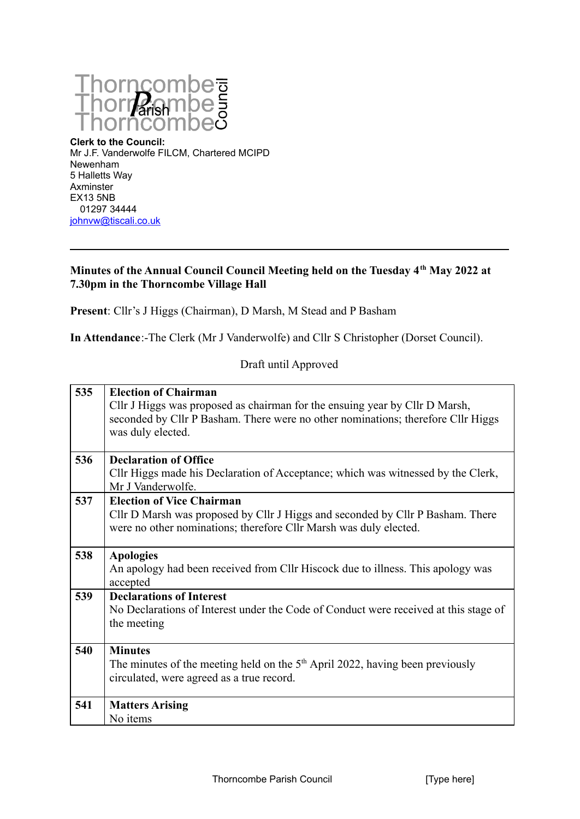

**Clerk to the Council:** Mr J.F. Vanderwolfe FILCM, Chartered MCIPD Newenham 5 Halletts Way Axminster EX13 5NB 01297 34444 [johnvw@tiscali.co.uk](mailto:johnvw@tiscali.co.uk)

## **Minutes of the Annual Council Council Meeting held on the Tuesday 4th May 2022 at 7.30pm in the Thorncombe Village Hall**

**Present**: Cllr's J Higgs (Chairman), D Marsh, M Stead and P Basham

**In Attendance**:-The Clerk (Mr J Vanderwolfe) and Cllr S Christopher (Dorset Council).

Draft until Approved

| 535 | <b>Election of Chairman</b><br>Cllr J Higgs was proposed as chairman for the ensuing year by Cllr D Marsh,<br>seconded by Cllr P Basham. There were no other nominations; therefore Cllr Higgs<br>was duly elected. |
|-----|---------------------------------------------------------------------------------------------------------------------------------------------------------------------------------------------------------------------|
| 536 | <b>Declaration of Office</b><br>Cllr Higgs made his Declaration of Acceptance; which was witnessed by the Clerk,<br>Mr J Vanderwolfe.                                                                               |
| 537 | <b>Election of Vice Chairman</b><br>Cllr D Marsh was proposed by Cllr J Higgs and seconded by Cllr P Basham. There<br>were no other nominations; therefore Cllr Marsh was duly elected.                             |
| 538 | <b>Apologies</b><br>An apology had been received from Cllr Hiscock due to illness. This apology was<br>accepted                                                                                                     |
| 539 | <b>Declarations of Interest</b><br>No Declarations of Interest under the Code of Conduct were received at this stage of<br>the meeting                                                                              |
| 540 | <b>Minutes</b><br>The minutes of the meeting held on the $5th$ April 2022, having been previously<br>circulated, were agreed as a true record.                                                                      |
| 541 | <b>Matters Arising</b><br>No items                                                                                                                                                                                  |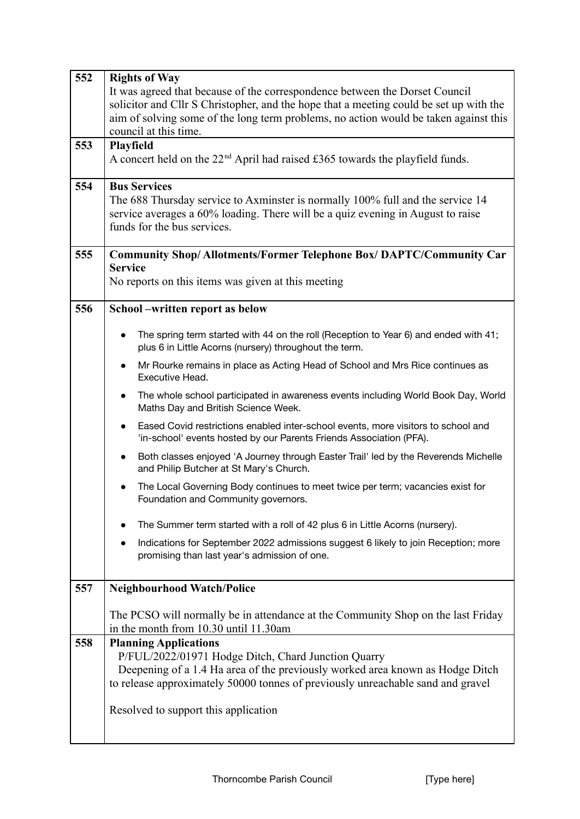| 552 | <b>Rights of Way</b>                                                                                                                                                  |
|-----|-----------------------------------------------------------------------------------------------------------------------------------------------------------------------|
|     | It was agreed that because of the correspondence between the Dorset Council                                                                                           |
|     | solicitor and Cllr S Christopher, and the hope that a meeting could be set up with the                                                                                |
|     | aim of solving some of the long term problems, no action would be taken against this                                                                                  |
|     | council at this time.                                                                                                                                                 |
| 553 | <b>Playfield</b>                                                                                                                                                      |
|     | A concert held on the $22nd$ April had raised £365 towards the playfield funds.                                                                                       |
| 554 | <b>Bus Services</b>                                                                                                                                                   |
|     | The 688 Thursday service to Axminster is normally 100% full and the service 14                                                                                        |
|     | service averages a 60% loading. There will be a quiz evening in August to raise                                                                                       |
|     | funds for the bus services.                                                                                                                                           |
| 555 | <b>Community Shop/Allotments/Former Telephone Box/DAPTC/Community Car</b>                                                                                             |
|     | <b>Service</b>                                                                                                                                                        |
|     | No reports on this items was given at this meeting                                                                                                                    |
| 556 | School -written report as below                                                                                                                                       |
|     | The spring term started with 44 on the roll (Reception to Year 6) and ended with 41;<br>$\bullet$                                                                     |
|     | plus 6 in Little Acorns (nursery) throughout the term.                                                                                                                |
|     | Mr Rourke remains in place as Acting Head of School and Mrs Rice continues as<br>$\bullet$                                                                            |
|     | Executive Head.                                                                                                                                                       |
|     | The whole school participated in awareness events including World Book Day, World<br>$\bullet$<br>Maths Day and British Science Week.                                 |
|     | Eased Covid restrictions enabled inter-school events, more visitors to school and<br>$\bullet$<br>'in-school' events hosted by our Parents Friends Association (PFA). |
|     | Both classes enjoyed 'A Journey through Easter Trail' led by the Reverends Michelle<br>$\bullet$<br>and Philip Butcher at St Mary's Church.                           |
|     | The Local Governing Body continues to meet twice per term; vacancies exist for<br>$\bullet$<br>Foundation and Community governors.                                    |
|     | The Summer term started with a roll of 42 plus 6 in Little Acorns (nursery).                                                                                          |
|     | Indications for September 2022 admissions suggest 6 likely to join Reception; more<br>promising than last year's admission of one.                                    |
| 557 | <b>Neighbourhood Watch/Police</b>                                                                                                                                     |
|     |                                                                                                                                                                       |
|     | The PCSO will normally be in attendance at the Community Shop on the last Friday<br>in the month from 10.30 until 11.30am                                             |
| 558 | <b>Planning Applications</b>                                                                                                                                          |
|     | P/FUL/2022/01971 Hodge Ditch, Chard Junction Quarry                                                                                                                   |
|     | Deepening of a 1.4 Ha area of the previously worked area known as Hodge Ditch                                                                                         |
|     | to release approximately 50000 tonnes of previously unreachable sand and gravel                                                                                       |
|     |                                                                                                                                                                       |
|     | Resolved to support this application                                                                                                                                  |
|     |                                                                                                                                                                       |